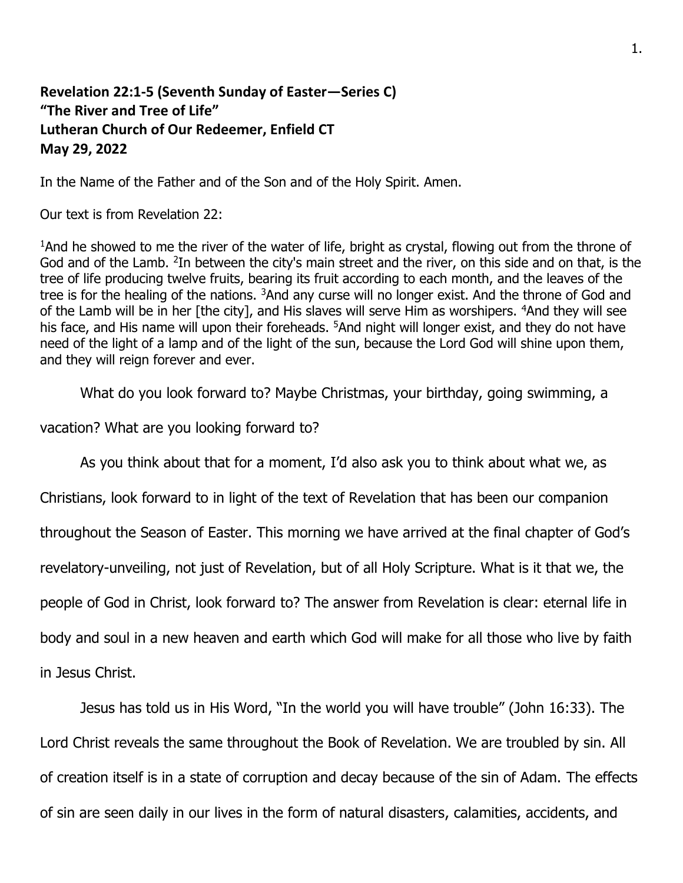## **Revelation 22:1-5 (Seventh Sunday of Easter—Series C) "The River and Tree of Life" Lutheran Church of Our Redeemer, Enfield CT May 29, 2022**

In the Name of the Father and of the Son and of the Holy Spirit. Amen.

Our text is from Revelation 22:

<sup>1</sup>And he showed to me the river of the water of life, bright as crystal, flowing out from the throne of God and of the Lamb. <sup>2</sup>In between the city's main street and the river, on this side and on that, is the tree of life producing twelve fruits, bearing its fruit according to each month, and the leaves of the tree is for the healing of the nations. <sup>3</sup>And any curse will no longer exist. And the throne of God and of the Lamb will be in her [the city], and His slaves will serve Him as worshipers. <sup>4</sup>And they will see his face, and His name will upon their foreheads. <sup>5</sup>And night will longer exist, and they do not have need of the light of a lamp and of the light of the sun, because the Lord God will shine upon them, and they will reign forever and ever.

What do you look forward to? Maybe Christmas, your birthday, going swimming, a

vacation? What are you looking forward to?

As you think about that for a moment, I'd also ask you to think about what we, as

Christians, look forward to in light of the text of Revelation that has been our companion throughout the Season of Easter. This morning we have arrived at the final chapter of God's revelatory-unveiling, not just of Revelation, but of all Holy Scripture. What is it that we, the people of God in Christ, look forward to? The answer from Revelation is clear: eternal life in body and soul in a new heaven and earth which God will make for all those who live by faith in Jesus Christ.

Jesus has told us in His Word, "In the world you will have trouble" (John 16:33). The Lord Christ reveals the same throughout the Book of Revelation. We are troubled by sin. All of creation itself is in a state of corruption and decay because of the sin of Adam. The effects of sin are seen daily in our lives in the form of natural disasters, calamities, accidents, and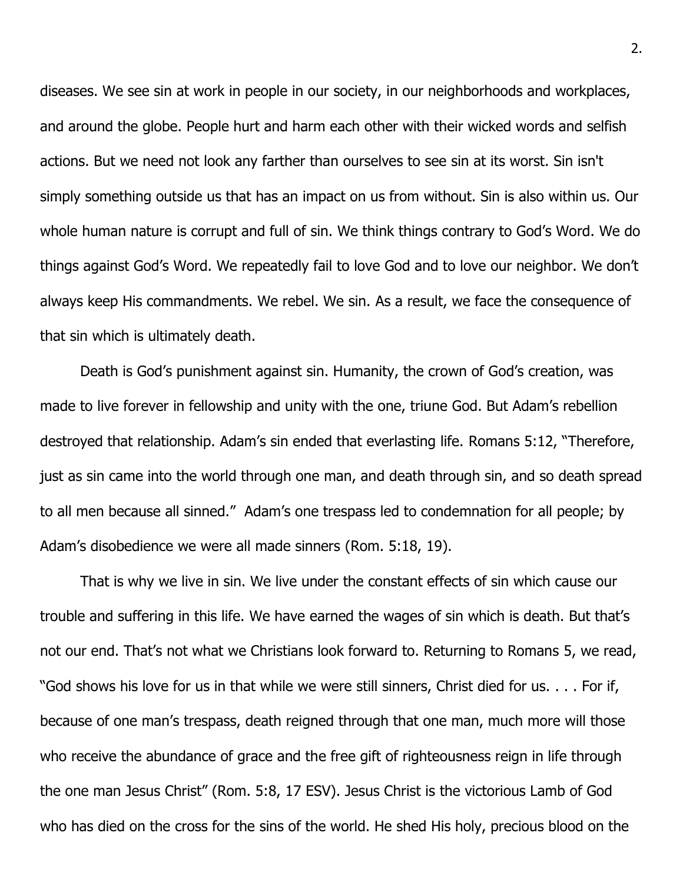diseases. We see sin at work in people in our society, in our neighborhoods and workplaces, and around the globe. People hurt and harm each other with their wicked words and selfish actions. But we need not look any farther than ourselves to see sin at its worst. Sin isn't simply something outside us that has an impact on us from without. Sin is also within us. Our whole human nature is corrupt and full of sin. We think things contrary to God's Word. We do things against God's Word. We repeatedly fail to love God and to love our neighbor. We don't always keep His commandments. We rebel. We sin. As a result, we face the consequence of that sin which is ultimately death.

Death is God's punishment against sin. Humanity, the crown of God's creation, was made to live forever in fellowship and unity with the one, triune God. But Adam's rebellion destroyed that relationship. Adam's sin ended that everlasting life. Romans 5:12, "Therefore, just as sin came into the world through one man, and death through sin, and so death spread to all men because all sinned." Adam's one trespass led to condemnation for all people; by Adam's disobedience we were all made sinners (Rom. 5:18, 19).

That is why we live in sin. We live under the constant effects of sin which cause our trouble and suffering in this life. We have earned the wages of sin which is death. But that's not our end. That's not what we Christians look forward to. Returning to Romans 5, we read, "God shows his love for us in that while we were still sinners, Christ died for us. . . . For if, because of one man's trespass, death reigned through that one man, much more will those who receive the abundance of grace and the free gift of righteousness reign in life through the one man Jesus Christ" (Rom. 5:8, 17 ESV). Jesus Christ is the victorious Lamb of God who has died on the cross for the sins of the world. He shed His holy, precious blood on the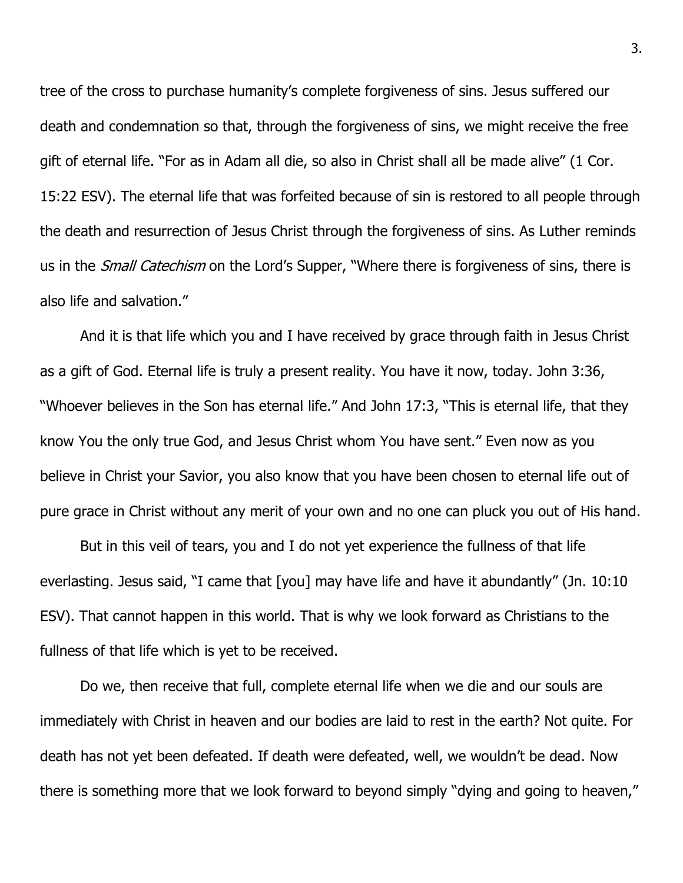tree of the cross to purchase humanity's complete forgiveness of sins. Jesus suffered our death and condemnation so that, through the forgiveness of sins, we might receive the free gift of eternal life. "For as in Adam all die, so also in Christ shall all be made alive" (1 Cor. 15:22 ESV). The eternal life that was forfeited because of sin is restored to all people through the death and resurrection of Jesus Christ through the forgiveness of sins. As Luther reminds us in the *Small Catechism* on the Lord's Supper, "Where there is forgiveness of sins, there is also life and salvation."

And it is that life which you and I have received by grace through faith in Jesus Christ as a gift of God. Eternal life is truly a present reality. You have it now, today. John 3:36, "Whoever believes in the Son has eternal life." And John 17:3, "This is eternal life, that they know You the only true God, and Jesus Christ whom You have sent." Even now as you believe in Christ your Savior, you also know that you have been chosen to eternal life out of pure grace in Christ without any merit of your own and no one can pluck you out of His hand.

But in this veil of tears, you and I do not yet experience the fullness of that life everlasting. Jesus said, "I came that [you] may have life and have it abundantly" (Jn. 10:10 ESV). That cannot happen in this world. That is why we look forward as Christians to the fullness of that life which is yet to be received.

Do we, then receive that full, complete eternal life when we die and our souls are immediately with Christ in heaven and our bodies are laid to rest in the earth? Not quite. For death has not yet been defeated. If death were defeated, well, we wouldn't be dead. Now there is something more that we look forward to beyond simply "dying and going to heaven,"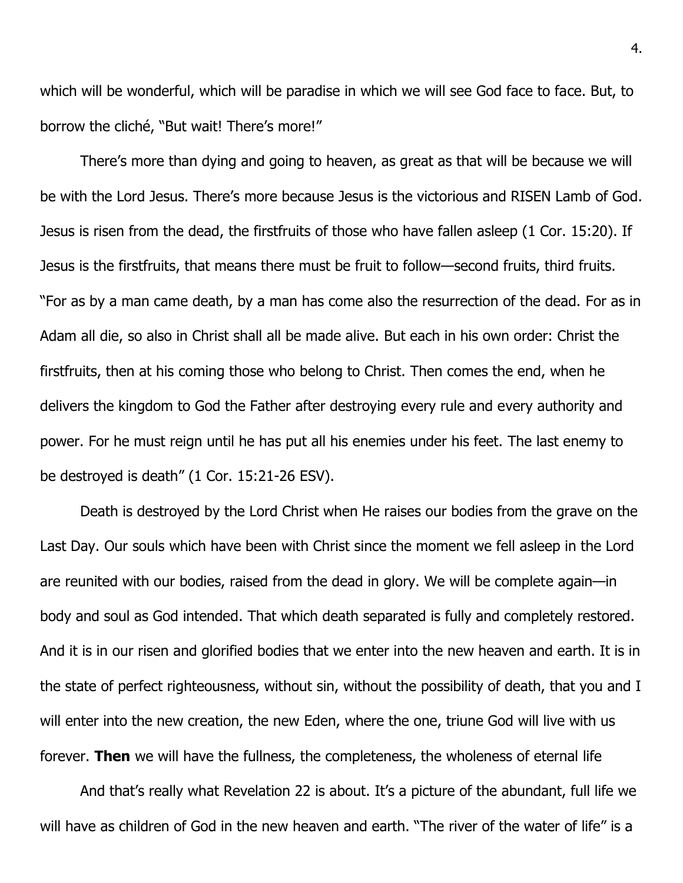which will be wonderful, which will be paradise in which we will see God face to face. But, to borrow the cliché, "But wait! There's more!"

There's more than dying and going to heaven, as great as that will be because we will be with the Lord Jesus. There's more because Jesus is the victorious and RISEN Lamb of God. Jesus is risen from the dead, the firstfruits of those who have fallen asleep (1 Cor. 15:20). If Jesus is the firstfruits, that means there must be fruit to follow—second fruits, third fruits. "For as by a man came death, by a man has come also the resurrection of the dead. For as in Adam all die, so also in Christ shall all be made alive. But each in his own order: Christ the firstfruits, then at his coming those who belong to Christ. Then comes the end, when he delivers the kingdom to God the Father after destroying every rule and every authority and power. For he must reign until he has put all his enemies under his feet. The last enemy to be destroyed is death" (1 Cor. 15:21-26 ESV).

Death is destroyed by the Lord Christ when He raises our bodies from the grave on the Last Day. Our souls which have been with Christ since the moment we fell asleep in the Lord are reunited with our bodies, raised from the dead in glory. We will be complete again—in body and soul as God intended. That which death separated is fully and completely restored. And it is in our risen and glorified bodies that we enter into the new heaven and earth. It is in the state of perfect righteousness, without sin, without the possibility of death, that you and I will enter into the new creation, the new Eden, where the one, triune God will live with us forever. **Then** we will have the fullness, the completeness, the wholeness of eternal life

And that's really what Revelation 22 is about. It's a picture of the abundant, full life we will have as children of God in the new heaven and earth. "The river of the water of life" is a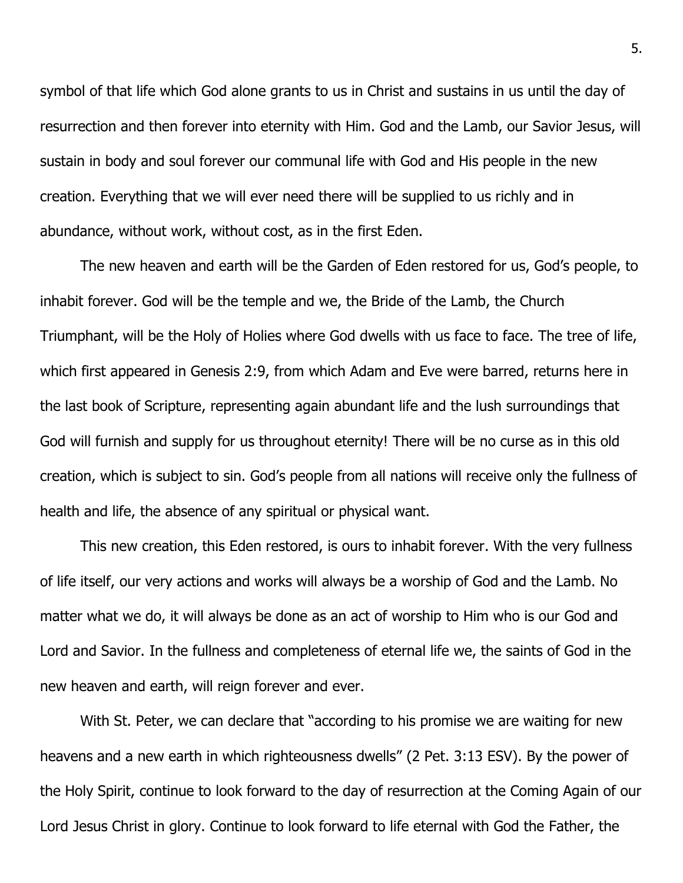symbol of that life which God alone grants to us in Christ and sustains in us until the day of resurrection and then forever into eternity with Him. God and the Lamb, our Savior Jesus, will sustain in body and soul forever our communal life with God and His people in the new creation. Everything that we will ever need there will be supplied to us richly and in abundance, without work, without cost, as in the first Eden.

The new heaven and earth will be the Garden of Eden restored for us, God's people, to inhabit forever. God will be the temple and we, the Bride of the Lamb, the Church Triumphant, will be the Holy of Holies where God dwells with us face to face. The tree of life, which first appeared in Genesis 2:9, from which Adam and Eve were barred, returns here in the last book of Scripture, representing again abundant life and the lush surroundings that God will furnish and supply for us throughout eternity! There will be no curse as in this old creation, which is subject to sin. God's people from all nations will receive only the fullness of health and life, the absence of any spiritual or physical want.

This new creation, this Eden restored, is ours to inhabit forever. With the very fullness of life itself, our very actions and works will always be a worship of God and the Lamb. No matter what we do, it will always be done as an act of worship to Him who is our God and Lord and Savior. In the fullness and completeness of eternal life we, the saints of God in the new heaven and earth, will reign forever and ever.

With St. Peter, we can declare that "according to his promise we are waiting for new heavens and a new earth in which righteousness dwells" (2 Pet. 3:13 ESV). By the power of the Holy Spirit, continue to look forward to the day of resurrection at the Coming Again of our Lord Jesus Christ in glory. Continue to look forward to life eternal with God the Father, the